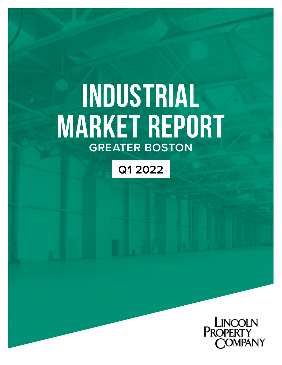# **INDUSTRIAL MARKET REPORT GREATER BOSTON**

# **Q1 2022**

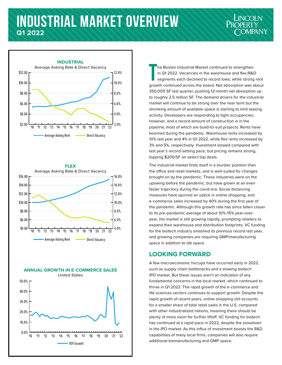## **INDUSTRIAL MARKET OVERVIEW Q1 2022**









**T** he Boston Industrial Market continued to strengthen in Q1 2022. Vacancies in the warehouse and flex/R&D segments each declined to record lows, while strong rent growth continued across the board. Net absorption was about 350,000 SF last quarter, pushing 12-month net absorption up to roughly 2.5 million SF. The demand drivers for the industrial market will continue to be strong over the near term but the shrinking amount of available space is starting to limit leasing activity. Developers are responding to tight occupancies; however, and a record amount of construction is in the pipeline, most of which are build-to-suit projects. Rents have boomed during the pandemic. Warehouse rents increased by 10% last year and 4% in Q1 2022, while flex rents increased by 3% and 5%, respectively. Investment slowed compared with last year's record-setting pace, but pricing remains strong, topping \$200/SF on select top deals.

The industrial market finds itself in a sturdier position than the office and retail markets, and is well-suited for changes brought on by the pandemic. These industries were on the upswing before the pandemic, but have grown at an even faster trajectory during the covid-era. Social distancing measures have spurred an uptick in online shopping, and e-commerce sales increased by 40% during the first year of the pandemic. Although this growth rate has since fallen closer to its pre-pandemic average of about 10%-15% year-overyear, the market is still growing rapidly, prompting retailers to expand their warehouse and distribution footprints. VC funding for the biotech industry smashed its previous record last year, and growing companies are requiring GMP/manufacturing space in addition to lab space.

#### **LOOKING FORWARD**

A few macroeconomic hiccups have occurred early in 2022, such as supply chain bottlenecks and a slowing biotech IPO market. But these issues aren't an indication of any fundamental concerns in the local market, which continued to thrive in Q1 2022. The rapid growth of the e-commerce and life sciences sectors continues to support growth. Despite the rapid growth of recent years, online shopping still accounts for a smaller share of total retail sales in the U.S. compared with other industrialized nations, meaning there should be plenty of more room for further liftoff. VC funding for biotech has continued at a rapid pace in 2022, despite the slowdown in the IPO market. As this influx of investment boosts the R&D capabilities of many local firms, companies will also require additional biomanufacturing and GMP space.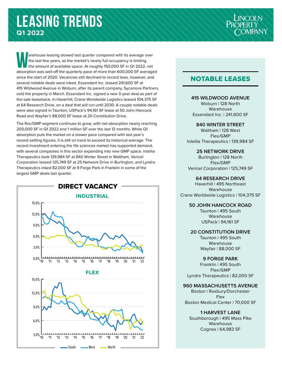arehouse leasing slowed last quarter compared with its average over<br>the last few years, as the market's nearly full occupancy is limiting<br>the amount of available space. At roughly 150,000 SF in Q1 2022, net the last few years, as the market's nearly full occupancy is limiting absorption was well off the quarterly pace of more than 600,000 SF averaged since the start of 2020. Vacancies still declined to record lows, however, and several notable deals were inked. Essendant Inc. leased 241,600 SF at 415 Wildwood Avenue in Woburn, after its parent company, Sycamore Partners, sold the property in March. Essendant Inc. signed a new 3-year deal as part of the sale leaseback. In Haverhill, Crane Worldwide Logistics leased 104,375 SF at 64 Research Drive, on a deal that will run until 2030. A couple notable deals were also signed in Taunton, USPack's 94,161 SF lease at 50 John Hancock Road and Wayfair's 88,000 SF lease at 20 Constitution Drive.

The flex/GMP segment continues to grow, with net absorption nearly reaching 200,000 SF in Q1 2022 and 1 million SF over the last 12 months. While Q1 absorption puts the market on a slower pace compared with last year's record-setting figures, it is still on track to exceed its historical average. The record investment entering the life sciences market has supported demand, with several companies in this sector expanding into new GMP space. Intellia Therapeutics took 139,984 SF at 840 Winter Street in Waltham, Vericel Corporation leased 125,749 SF at 25 Network Drive in Burlington, and Lyndra Therapeutics inked 82,000 SF at 9 Forge Park in Franklin in some of the largest GMP deals last quarter.



### NOTABLE LEASES

#### **415 WILDWOOD AVENUE**

Woburn | 128 North Warehouse Essendant Inc. | 241,600 SF

#### **840 WINTER STREET**

Waltham | 128 West Flex/GMP Intellia Therapeutics | 139,984 SF

#### **25 NETWORK DRIVE**

Burlington | 128 North Flex/GMP Vericel Corporation | 125,749 SF

#### **64 RESEARCH DRIVE**

Haverhill | 495 Northeast Warehouse Crane Worldwide Logistics | 104,375 SF

#### **50 JOHN HANCOCK ROAD**

Taunton | 495 South Warehouse USPack | 94,161 SF

#### **20 CONSTITUTION DRIVE**

Taunton | 495 South Warehouse Wayfair | 88,000 SF

#### **9 FORGE PARK**

Franklin | 495 South Flex/GMP Lyndra Therapeutics | 82,000 SF

#### **960 MASSACHUSETTS AVENUE**

Boston | Roxbury/Dorchester Flex Boston Medical Center | 70,000 SF

#### **1 HARVEST LANE**

Southborough | 495 Mass Pike Warehouse Cognex | 64,983 SF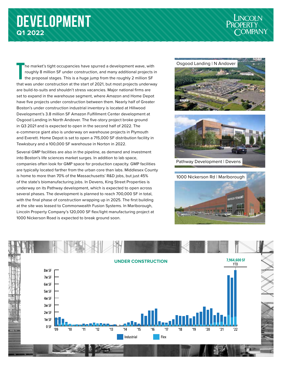# **DEVELOPMENT Q1 2022**



**T** he market's tight occupancies have spurred a development wave, with roughly 8 million SF under construction, and many additional projects in the proposal stages. This is a huge jump from the roughly 2 million SF that was under construction at the start of 2021, but most projects underway are build-to-suits and shouldn't stress vacancies. Major national firms are set to expand in the warehouse segment, where Amazon and Home Depot have five projects under construction between them. Nearly half of Greater Boston's under construction industrial inventory is located at Hillwood Development's 3.8 million SF Amazon Fulfillment Center development at Osgood Landing in North Andover. The five-story project broke ground in Q3 2021 and is expected to open in the second half of 2022. The e-commerce giant also is underway on warehouse projects in Plymouth and Everett. Home Depot is set to open a 715,000 SF distribution facility in Tewksbury and a 100,000 SF warehouse in Norton in 2022.

Several GMP facilities are also in the pipeline, as demand and investment into Boston's life sciences market surges. In addition to lab space, companies often look for GMP space for production capacity. GMP facilities are typically located farther from the urban core than labs. Middlesex County is home to more than 70% of the Massachusetts' R&D jobs, but just 45% of the state's biomanufacturing jobs. In Devens, King Street Properties is underway on its Pathway development, which is expected to open across several phases. The development is planned to reach 700,000 SF in total, with the final phase of construction wrapping up in 2025. The first building at the site was leased to Commonwealth Fusion Systems. In Marlborough, Lincoln Property Company's 120,000 SF flex/light manufacturing project at 1000 Nickerson Road is expected to break ground soon.





Pathway Development | Devens



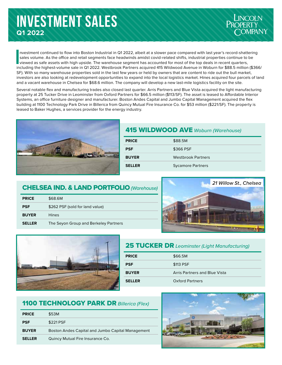# **INVESTMENT SALES Q1 2022**

**I**<br>I<br>I<br>I<br>I nvestment continued to flow into Boston Industrial in Q1 2022, albeit at a slower pace compared with last year's record-shattering sales volume. As the office and retail segments face headwinds amidst covid-related shifts, industrial properties continue to be viewed as safe assets with high upside. The warehouse segment has accounted for most of the top deals in recent quarters, including the highest-volume sale in Q1 2022. Westbrook Partners acquired 415 Wildwood Avenue in Woburn for \$88.5 million (\$366/ SF). With so many warehouse properties sold in the last few years or held by owners that are content to ride out the bull market, investors are also looking at redevelopment opportunities to expand into the local logistics market. Hines acquired four parcels of land and a vacant warehouse in Chelsea for \$68.6 million. The company will develop a new last-mile logistics facility on the site.

Several notable flex and manufacturing trades also closed last quarter. Arris Partners and Blue Vista acquired the light manufacturing property at 25 Tucker Drive in Leominster from Oxford Partners for \$66.5 million (\$113/SF). The asset is leased to Affordable Interior Systems, an office furniture designer and manufacturer. Boston Andes Capital and Jumbo Capital Management acquired the flex building at 1100 Technology Park Drive in Billerica from Quincy Mutual Fire Insurance Co. for \$53 million (\$221/SF). The property is leased to Baker Hughes, a services provider for the energy industry.



### 415 WILDWOOD AVE *Woburn (Warehouse)*

| <b>PRICE</b>  | \$88.5M                   |
|---------------|---------------------------|
| <b>PSF</b>    | \$366 PSF                 |
| <b>BUYER</b>  | <b>Westbrook Partners</b> |
| <b>SELLER</b> | <b>Sycamore Partners</b>  |

### CHELSEA IND. & LAND PORTFOLIO *(Warehouse)*

| <b>PRICE</b>  | \$68.6M                               |
|---------------|---------------------------------------|
| <b>PSF</b>    | \$262 PSF (sold for land value)       |
| <b>BUYER</b>  | <b>Hines</b>                          |
| <b>SELLER</b> | The Seyon Group and Berkeley Partners |





### 25 TUCKER DR *Leominster (Light Manufacturing)*

| <b>PRICE</b>  | \$66.5M                       |
|---------------|-------------------------------|
| <b>PSF</b>    | \$113 PSF                     |
| <b>BUYER</b>  | Arris Partners and Blue Vista |
| <b>SELLER</b> | <b>Oxford Partners</b>        |

### 1100 TECHNOLOGY PARK DR *Billerica (Flex)*

| <b>PRICE</b>  | \$53M                                             |
|---------------|---------------------------------------------------|
| <b>PSF</b>    | \$221 PSF                                         |
| <b>BUYER</b>  | Boston Andes Capital and Jumbo Capital Management |
| <b>SELLER</b> | Quincy Mutual Fire Insurance Co.                  |
|               |                                                   |